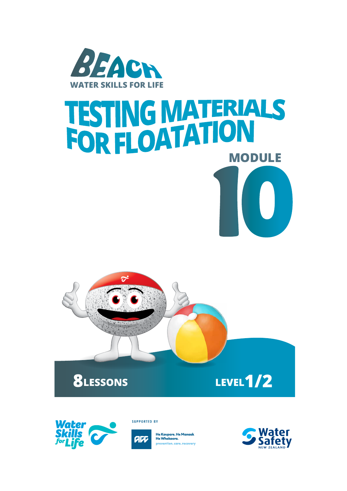

# **10 TESTING MATERIALS<br>FOR FLOATATION**





**SUPPORTED BY** 



Water **Safety**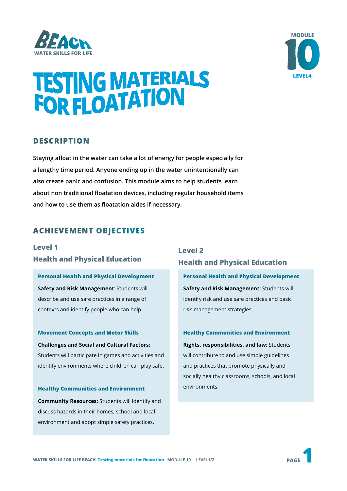



# **TESTING MATERIALS<br>FOR FLOATATION**

#### **DESCRIPTION**

**Staying afloat in the water can take a lot of energy for people especially for a lengthy time period. Anyone ending up in the water unintentionally can also create panic and confusion. This module aims to help students learn about non traditional floatation devices, including regular household items and how to use them as floatation aides if necessary.** 

#### **ACHIEVEMENT OBJECTIVES**

#### **Level 1 Health and Physical Education**

**Personal Health and Physical Development Safety and Risk Managemen**t: Students will describe and use safe practices in a range of contexts and identify people who can help.

**Movement Concepts and Motor Skills Challenges and Social and Cultural Factors:**  Students will participate in games and activities and identify environments where children can play safe.

#### **Healthy Communities and Environment**

**Community Resources:** Students will identify and discuss hazards in their homes, school and local environment and adopt simple safety practices.

#### **Level 2 Health and Physical Education**

**Personal Health and Physical Development Safety and Risk Management:** Students will identify risk and use safe practices and basic risk-management strategies.

#### **Healthy Communities and Environment**

**Rights, responsibilities, and law:** Students will contribute to and use simple guidelines and practices that promote physically and socially healthy classrooms, schools, and local environments.

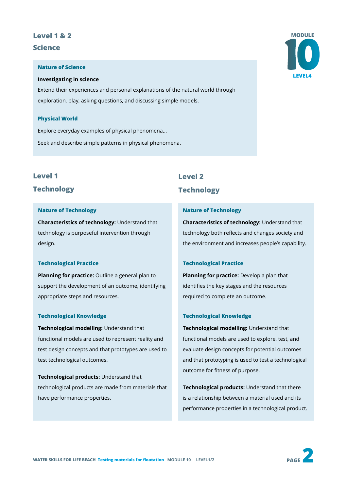# **Level 1 & 2**

**Science**

#### **Nature of Science**

#### **Investigating in science**

Extend their experiences and personal explanations of the natural world through exploration, play, asking questions, and discussing simple models.

#### **Physical World**

Explore everyday examples of physical phenomena… Seek and describe simple patterns in physical phenomena.

#### **Level 1**

#### **Technology**

#### **Nature of Technology**

**Characteristics of technology:** Understand that technology is purposeful intervention through design.

#### **Technological Practice**

**Planning for practice:** Outline a general plan to support the development of an outcome, identifying appropriate steps and resources.

#### **Technological Knowledge**

**Technological modelling:** Understand that functional models are used to represent reality and test design concepts and that prototypes are used to test technological outcomes.

**Technological products:** Understand that technological products are made from materials that have performance properties.

# **10 MODULE LEVEL4**

#### **Level 2**

#### **Technology**

#### **Nature of Technology**

**Characteristics of technology:** Understand that technology both reflects and changes society and the environment and increases people's capability.

#### **Technological Practice**

**Planning for practice:** Develop a plan that identifies the key stages and the resources required to complete an outcome.

#### **Technological Knowledge**

**Technological modelling:** Understand that functional models are used to explore, test, and evaluate design concepts for potential outcomes and that prototyping is used to test a technological outcome for fitness of purpose.

**Technological products:** Understand that there is a relationship between a material used and its performance properties in a technological product.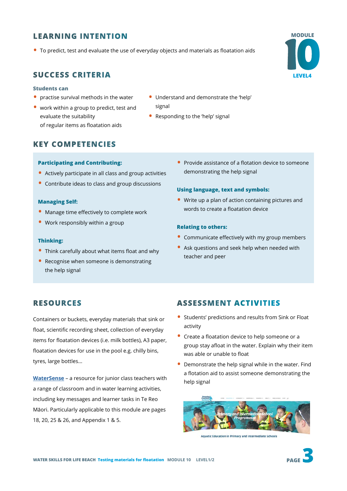#### **LEARNING INTENTION**

• To predict, test and evaluate the use of everyday objects and materials as floatation aids

#### **SUCCESS CRITERIA**

#### **Students can**

- practise survival methods in the water
- work within a group to predict, test and evaluate the suitability of regular items as floatation aids
- Understand and demonstrate the 'help' signal
- Responding to the 'help' signal

#### **KEY COMPETENCIES**

#### **Participating and Contributing:**

- Actively participate in all class and group activities
- Contribute ideas to class and group discussions

#### **Managing Self:**

- Manage time effectively to complete work
- Work responsibly within a group

#### **Thinking:**

- Think carefully about what items float and why
- Recognise when someone is demonstrating the help signal

• Provide assistance of a flotation device to someone demonstrating the help signal

#### **Using language, text and symbols:**

• Write up a plan of action containing pictures and words to create a floatation device

#### **Relating to others:**

- Communicate effectively with my group members
- Ask questions and seek help when needed with teacher and peer

#### **RESOURCES**

Containers or buckets, everyday materials that sink or float, scientific recording sheet, collection of everyday items for floatation devices (i.e. milk bottles), A3 paper, floatation devices for use in the pool e.g. chilly bins, tyres, large bottles...

**[WaterSense](https://www.dpanz.org.nz/education/primary-intermediate/)** – a resource for junior class teachers with a range of classroom and in water learning activities, including key messages and learner tasks in Te Reo Māori. Particularly applicable to this module are pages 18, 20, 25 & 26, and Appendix 1 & 5.

#### **ASSESSMENT ACTIVITIES**

- Students' predictions and results from Sink or Float activity
- Create a floatation device to help someone or a group stay afloat in the water. Explain why their item was able or unable to float
- Demonstrate the help signal while in the water. Find a flotation aid to assist someone demonstrating the help signal



Aquatic Education in Primary and Intermediate Schools



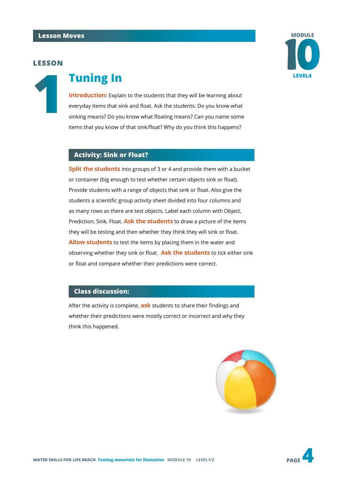#### **LESSON**



# **1 Tuning In**

**Introduction:** Explain to the students that they will be learning about everyday items that sink and float. Ask the students: Do you know what sinking means? Do you know what floating means? Can you name some items that you know of that sink/float? Why do you think this happens?

#### **Activity: Sink or Float?**

**Split the students** into groups of 3 or 4 and provide them with a bucket or container (big enough to test whether certain objects sink or float). Provide students with a range of objects that sink or float. Also give the students a scientific group activity sheet divided into four columns and as many rows as there are test objects. Label each column with Object, Prediction, Sink, Float. **Ask the students** to draw a picture of the items they will be testing and then whether they think they will sink or float. **Allow students** to test the items by placing them in the water and observing whether they sink or float. **Ask the students** to tick either sink or float and compare whether their predictions were correct.

#### **Class discussion:**

After the activity is complete, **ask** students to share their findings and whether their predictions were mostly correct or incorrect and why they think this happened.



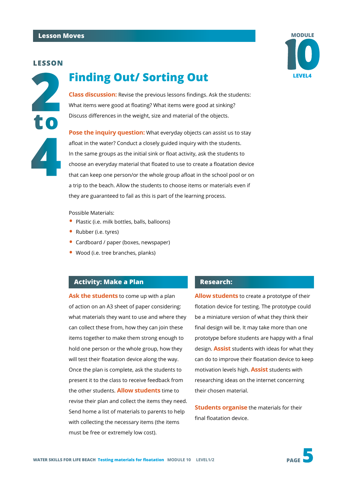#### **LESSON**



## **LEVEL4 Finding Out/ Sorting Out**



**Pose the inquiry question:** What everyday objects can assist us to stay afloat in the water? Conduct a closely guided inquiry with the students. In the same groups as the initial sink or float activity, ask the students to choose an everyday material that floated to use to create a floatation device that can keep one person/or the whole group afloat in the school pool or on a trip to the beach. Allow the students to choose items or materials even if they are guaranteed to fail as this is part of the learning process.

Possible Materials:

- Plastic (i.e. milk bottles, balls, balloons)
- Rubber (i.e. tyres)
- Cardboard / paper (boxes, newspaper)
- Wood (i.e. tree branches, planks)

#### **Activity: Make a Plan**

**Ask the students** to come up with a plan of action on an A3 sheet of paper considering: what materials they want to use and where they can collect these from, how they can join these items together to make them strong enough to hold one person or the whole group, how they will test their floatation device along the way. Once the plan is complete, ask the students to present it to the class to receive feedback from the other students. **Allow students** time to revise their plan and collect the items they need. Send home a list of materials to parents to help with collecting the necessary items (the items must be free or extremely low cost).

#### **Research:**

**Allow students** to create a prototype of their flotation device for testing. The prototype could be a miniature version of what they think their final design will be. It may take more than one prototype before students are happy with a final design. **Assist** students with ideas for what they can do to improve their floatation device to keep motivation levels high. **Assist** students with researching ideas on the internet concerning their chosen material.

**Students organise** the materials for their final floatation device.